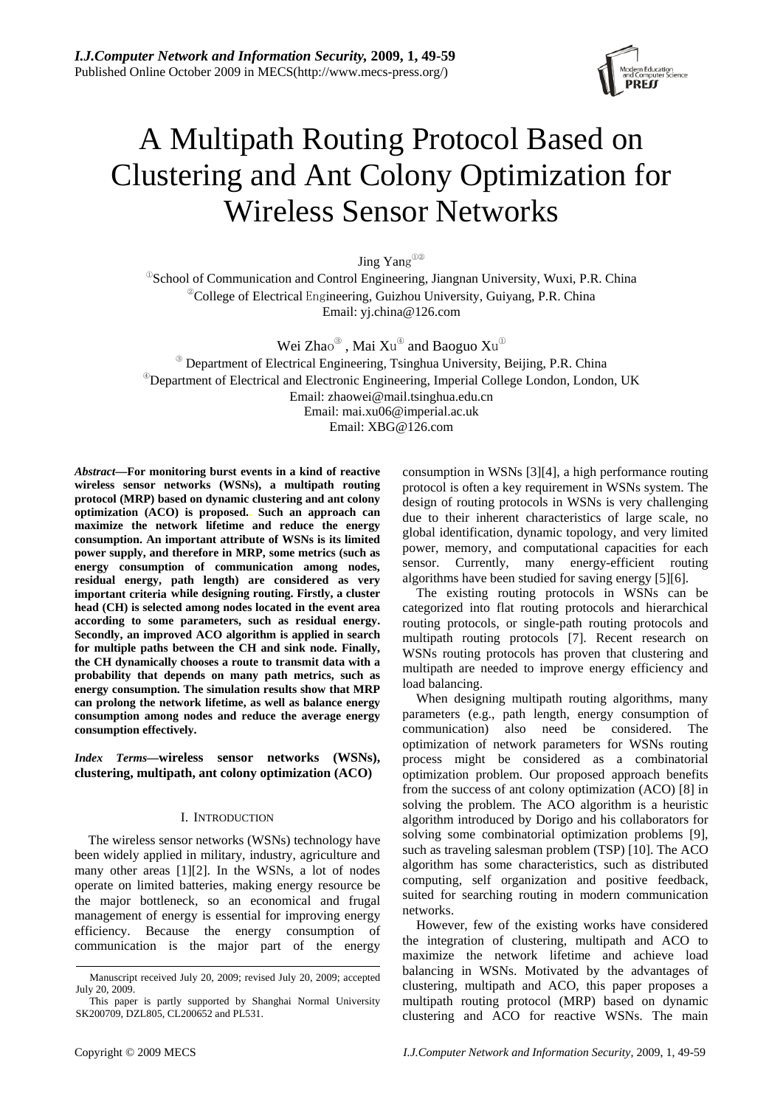

# A Multipath Routing Protocol Based on Clustering and Ant Colony Optimization for Wireless Sensor Networks

Jing Yang①②

<sup>®</sup>School of Communication and Control Engineering, Jiangnan University, Wuxi, P.R. China <sup>@</sup>College of Electrical Engineering, Guizhou University, Guiyang, P.R. China Email: yj.china@126.com

Wei Zhao $^\circledast$  , Mai  $\rm Xu^\circledast$  and Baoguo  $\rm Xu^\circledast$ ③ Department of Electrical Engineering, Tsinghua University, Beijing, P.R. China <sup>®</sup>Department of Electrical and Electronic Engineering, Imperial College London, London, UK Email: zhaowei@mail.tsinghua.edu.cn Email: mai.xu06@imperial.ac.uk

Email: XBG@126.com

*Abstract***—For monitoring burst events in a kind of reactive**  wireless sensor networks (WSNs), a multipath routing **protocol (MRP) based on dynamic clustering and ant colony optimization (ACO) is proposed.. Such an approach can maximize the network lifetime and reduce the energy consumption. An important attribute of WSNs is its limited power supply, and therefore in MRP, some metrics (such as energy consumption of communication among nodes, residual energy, path length) are considered as very important criteria while designing routing. Firstly, a cluster head (CH) is selected among nodes located in the event area according to some parameters, such as residual energy. Secondly, an improved ACO algorithm is applied in search for multiple paths between the CH and sink node. Finally, the CH dynamically chooses a route to transmit data with a probability that depends on many path metrics, such as energy consumption. The simulation results show that MRP can prolong the network lifetime, as well as balance energy consumption among nodes and reduce the average energy consumption effectively.** 

*Index Terms***—wireless sensor networks (WSNs), clustering, multipath, ant colony optimization (ACO)**

# I. INTRODUCTION

The wireless sensor networks (WSNs) technology have been widely applied in military, industry, agriculture and many other areas [1][2]. In the WSNs, a lot of nodes operate on limited batteries, making energy resource be the major bottleneck, so an economical and frugal management of energy is essential for improving energy efficiency. Because the energy consumption of communication is the major part of the energy

consumption in WSNs [3][4], a high performance routing protocol is often a key requirement in WSNs system. The design of routing protocols in WSNs is very challenging due to their inherent characteristics of large scale, no global identification, dynamic topology, and very limited power, memory, and computational capacities for each sensor. Currently, many energy-efficient routing algorithms have been studied for saving energy [5][6].

The existing routing protocols in WSNs can be categorized into flat routing protocols and hierarchical routing protocols, or single-path routing protocols and multipath routing protocols [7]. Recent research on WSNs routing protocols has proven that clustering and multipath are needed to improve energy efficiency and load balancing.

When designing multipath routing algorithms, many parameters (e.g., path length, energy consumption of communication) also need be considered. The optimization of network parameters for WSNs routing process might be considered as a combinatorial optimization problem. Our proposed approach benefits from the success of ant colony optimization (ACO) [8] in solving the problem. The ACO algorithm is a heuristic algorithm introduced by Dorigo and his collaborators for solving some combinatorial optimization problems [9], such as traveling salesman problem (TSP) [10]. The ACO algorithm has some characteristics, such as distributed computing, self organization and positive feedback, suited for searching routing in modern communication networks.

However, few of the existing works have considered the integration of clustering, multipath and ACO to maximize the network lifetime and achieve load balancing in WSNs. Motivated by the advantages of clustering, multipath and ACO, this paper proposes a multipath routing protocol (MRP) based on dynamic clustering and ACO for reactive WSNs. The main

Manuscript received July 20, 2009; revised July 20, 2009; accepted July 20, 2009.

This paper is partly supported by Shanghai Normal University SK200709, DZL805, CL200652 and PL531.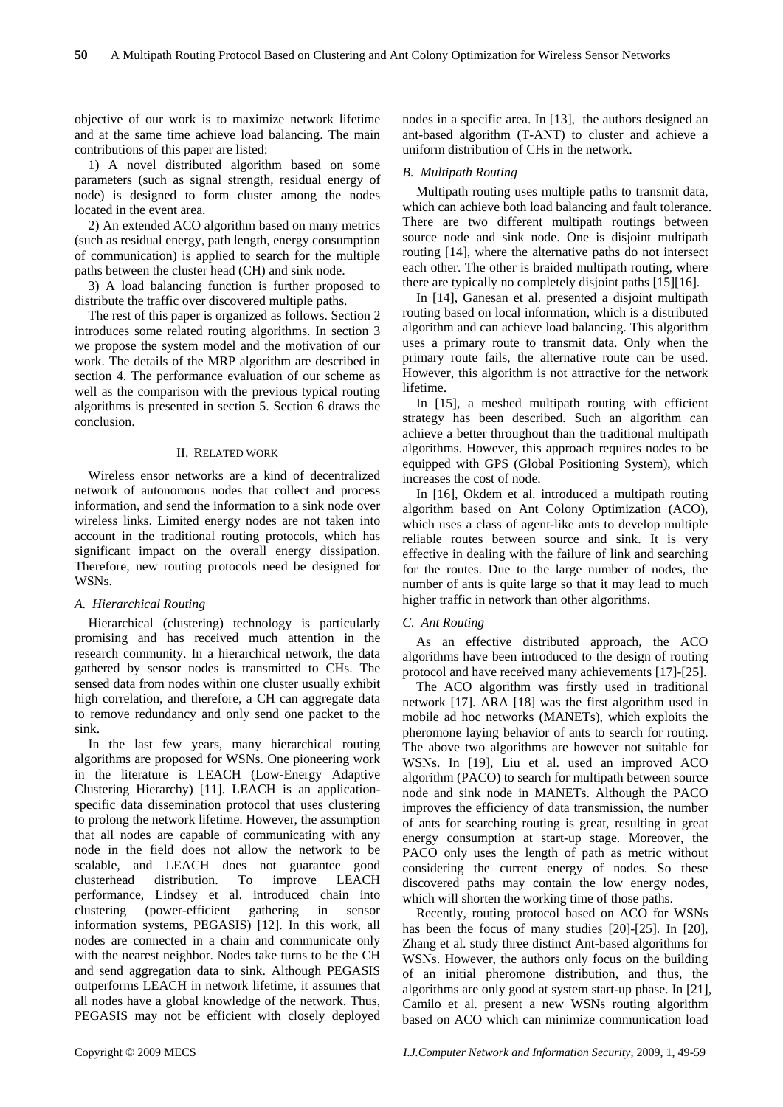objective of our work is to maximize network lifetime and at the same time achieve load balancing. The main contributions of this paper are listed:

1) A novel distributed algorithm based on some parameters (such as signal strength, residual energy of node) is designed to form cluster among the nodes located in the event area.

2) An extended ACO algorithm based on many metrics (such as residual energy, path length, energy consumption of communication) is applied to search for the multiple paths between the cluster head (CH) and sink node.

3) A load balancing function is further proposed to distribute the traffic over discovered multiple paths.

The rest of this paper is organized as follows. Section 2 introduces some related routing algorithms. In section 3 we propose the system model and the motivation of our work. The details of the MRP algorithm are described in section 4. The performance evaluation of our scheme as well as the comparison with the previous typical routing algorithms is presented in section 5. Section 6 draws the conclusion.

## II. RELATED WORK

Wireless ensor networks are a kind of decentralized network of autonomous nodes that collect and process information, and send the information to a sink node over wireless links. Limited energy nodes are not taken into account in the traditional routing protocols, which has significant impact on the overall energy dissipation. Therefore, new routing protocols need be designed for WSNs.

# *A. Hierarchical Routing*

Hierarchical (clustering) technology is particularly promising and has received much attention in the research community. In a hierarchical network, the data gathered by sensor nodes is transmitted to CHs. The sensed data from nodes within one cluster usually exhibit high correlation, and therefore, a CH can aggregate data to remove redundancy and only send one packet to the sink.

In the last few years, many hierarchical routing algorithms are proposed for WSNs. One pioneering work in the literature is LEACH (Low-Energy Adaptive Clustering Hierarchy) [11]. LEACH is an applicationspecific data dissemination protocol that uses clustering to prolong the network lifetime. However, the assumption that all nodes are capable of communicating with any node in the field does not allow the network to be scalable, and LEACH does not guarantee good clusterhead distribution. To improve LEACH performance, Lindsey et al. introduced chain into clustering (power-efficient gathering in sensor information systems, PEGASIS) [12]. In this work, all nodes are connected in a chain and communicate only with the nearest neighbor. Nodes take turns to be the CH and send aggregation data to sink. Although PEGASIS outperforms LEACH in network lifetime, it assumes that all nodes have a global knowledge of the network. Thus, PEGASIS may not be efficient with closely deployed nodes in a specific area. In [13], the authors designed an ant-based algorithm (T-ANT) to cluster and achieve a uniform distribution of CHs in the network.

## *B. Multipath Routing*

Multipath routing uses multiple paths to transmit data, which can achieve both load balancing and fault tolerance. There are two different multipath routings between source node and sink node. One is disjoint multipath routing [14], where the alternative paths do not intersect each other. The other is braided multipath routing, where there are typically no completely disjoint paths [15][16].

In [14], Ganesan et al. presented a disjoint multipath routing based on local information, which is a distributed algorithm and can achieve load balancing. This algorithm uses a primary route to transmit data. Only when the primary route fails, the alternative route can be used. However, this algorithm is not attractive for the network lifetime.

In [15], a meshed multipath routing with efficient strategy has been described. Such an algorithm can achieve a better throughout than the traditional multipath algorithms. However, this approach requires nodes to be equipped with GPS (Global Positioning System), which increases the cost of node.

In [16], Okdem et al. introduced a multipath routing algorithm based on Ant Colony Optimization (ACO), which uses a class of agent-like ants to develop multiple reliable routes between source and sink. It is very effective in dealing with the failure of link and searching for the routes. Due to the large number of nodes, the number of ants is quite large so that it may lead to much higher traffic in network than other algorithms.

## *C. Ant Routing*

As an effective distributed approach, the ACO algorithms have been introduced to the design of routing protocol and have received many achievements [17]-[25].

The ACO algorithm was firstly used in traditional network [17]. ARA [18] was the first algorithm used in mobile ad hoc networks (MANETs), which exploits the pheromone laying behavior of ants to search for routing. The above two algorithms are however not suitable for WSNs. In [19], Liu et al. used an improved ACO algorithm (PACO) to search for multipath between source node and sink node in MANETs. Although the PACO improves the efficiency of data transmission, the number of ants for searching routing is great, resulting in great energy consumption at start-up stage. Moreover, the PACO only uses the length of path as metric without considering the current energy of nodes. So these discovered paths may contain the low energy nodes, which will shorten the working time of those paths.

Recently, routing protocol based on ACO for WSNs has been the focus of many studies [20]-[25]. In [20], Zhang et al. study three distinct Ant-based algorithms for WSNs. However, the authors only focus on the building of an initial pheromone distribution, and thus, the algorithms are only good at system start-up phase. In [21], Camilo et al. present a new WSNs routing algorithm based on ACO which can minimize communication load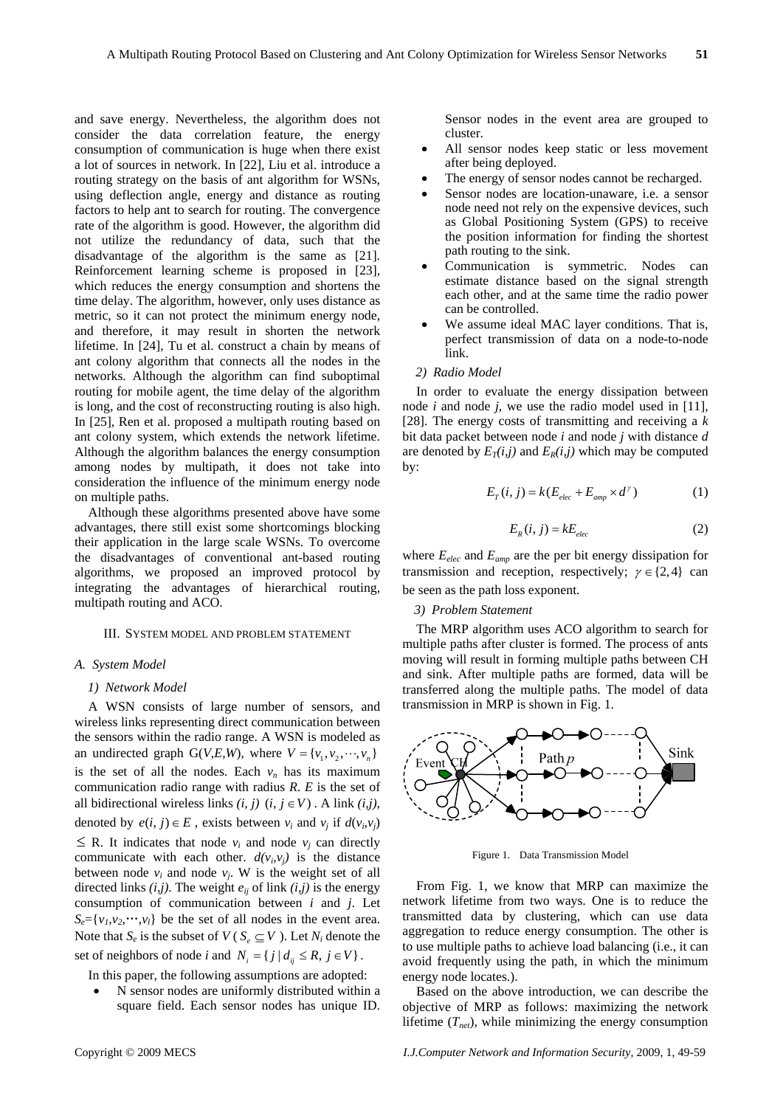and save energy. Nevertheless, the algorithm does not consider the data correlation feature, the energy consumption of communication is huge when there exist a lot of sources in network. In [22], Liu et al. introduce a routing strategy on the basis of ant algorithm for WSNs, using deflection angle, energy and distance as routing factors to help ant to search for routing. The convergence rate of the algorithm is good. However, the algorithm did not utilize the redundancy of data, such that the disadvantage of the algorithm is the same as [21]. Reinforcement learning scheme is proposed in [23], which reduces the energy consumption and shortens the time delay. The algorithm, however, only uses distance as metric, so it can not protect the minimum energy node, and therefore, it may result in shorten the network lifetime. In [24], Tu et al. construct a chain by means of ant colony algorithm that connects all the nodes in the networks. Although the algorithm can find suboptimal routing for mobile agent, the time delay of the algorithm is long, and the cost of reconstructing routing is also high. In [25], Ren et al. proposed a multipath routing based on ant colony system, which extends the network lifetime. Although the algorithm balances the energy consumption among nodes by multipath, it does not take into consideration the influence of the minimum energy node on multiple paths.

Although these algorithms presented above have some advantages, there still exist some shortcomings blocking their application in the large scale WSNs. To overcome the disadvantages of conventional ant-based routing algorithms, we proposed an improved protocol by integrating the advantages of hierarchical routing, multipath routing and ACO.

#### III. SYSTEM MODEL AND PROBLEM STATEMENT

## *A. System Model*

#### *1) Network Model*

A WSN consists of large number of sensors, and wireless links representing direct communication between the sensors within the radio range. A WSN is modeled as an undirected graph  $G(V,E,W)$ , where  $V = \{v_1, v_2, \dots, v_n\}$ is the set of all the nodes. Each  $v_n$  has its maximum communication radio range with radius *R*. *E* is the set of all bidirectional wireless links  $(i, j)$   $(i, j \in V)$ . A link  $(i, j)$ , denoted by  $e(i, j) \in E$ , exists between  $v_i$  and  $v_j$  if  $d(v_i, v_j)$  $\leq$  R. It indicates that node  $v_i$  and node  $v_j$  can directly communicate with each other.  $d(v_i, v_j)$  is the distance between node  $v_i$  and node  $v_j$ . W is the weight set of all directed links  $(i, j)$ . The weight  $e_{ij}$  of link  $(i, j)$  is the energy consumption of communication between *i* and *j*. Let  $S_e = \{v_1, v_2, \dots, v_l\}$  be the set of all nodes in the event area. Note that  $S_e$  is the subset of  $V(S_e \subseteq V)$ . Let  $N_i$  denote the set of neighbors of node *i* and  $N_i = \{ j | d_{ii} \le R, j \in V \}$ .

In this paper, the following assumptions are adopted:

N sensor nodes are uniformly distributed within a square field. Each sensor nodes has unique ID. Sensor nodes in the event area are grouped to cluster.

- All sensor nodes keep static or less movement after being deployed.
- The energy of sensor nodes cannot be recharged.
- Sensor nodes are location-unaware, i.e. a sensor node need not rely on the expensive devices, such as Global Positioning System (GPS) to receive the position information for finding the shortest path routing to the sink.
- Communication is symmetric. Nodes can estimate distance based on the signal strength each other, and at the same time the radio power can be controlled.
- We assume ideal MAC layer conditions. That is, perfect transmission of data on a node-to-node link.

## *2) Radio Model*

In order to evaluate the energy dissipation between node *i* and node *j*, we use the radio model used in [11], [28]. The energy costs of transmitting and receiving a *k* bit data packet between node *i* and node *j* with distance *d* are denoted by  $E_T(i,j)$  and  $E_R(i,j)$  which may be computed by:

$$
E_T(i, j) = k(E_{elec} + E_{amp} \times d^{\gamma})
$$
 (1)

$$
E_R(i, j) = kE_{elec}
$$
 (2)

where *Eelec* and *Eamp* are the per bit energy dissipation for transmission and reception, respectively;  $\gamma \in \{2, 4\}$  can be seen as the path loss exponent.

#### *3) Problem Statement*

The MRP algorithm uses ACO algorithm to search for multiple paths after cluster is formed. The process of ants moving will result in forming multiple paths between CH and sink. After multiple paths are formed, data will be transferred along the multiple paths. The model of data transmission in MRP is shown in Fig. 1.



Figure 1. Data Transmission Model

From Fig. 1, we know that MRP can maximize the network lifetime from two ways. One is to reduce the transmitted data by clustering, which can use data aggregation to reduce energy consumption. The other is to use multiple paths to achieve load balancing (i.e., it can avoid frequently using the path, in which the minimum energy node locates.).

Based on the above introduction, we can describe the objective of MRP as follows: maximizing the network lifetime  $(T_{net})$ , while minimizing the energy consumption

Copyright © 2009 MECS *I.J.Computer Network and Information Security,* 2009, 1, 49-59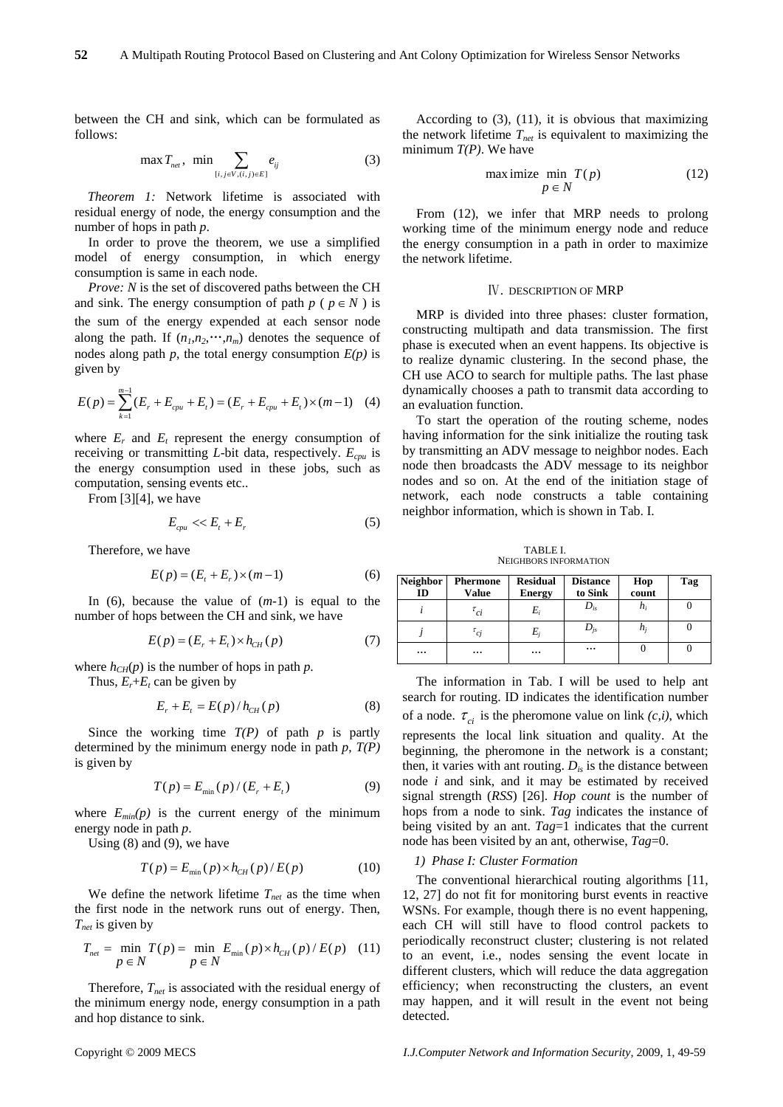between the CH and sink, which can be formulated as follows:

$$
\max T_{net}, \ \min \sum_{[i,j \in V, (i,j) \in E]} e_{ij} \tag{3}
$$

*Theorem 1:* Network lifetime is associated with residual energy of node, the energy consumption and the number of hops in path *p*.

In order to prove the theorem, we use a simplified model of energy consumption, in which energy consumption is same in each node.

*Prove: N* is the set of discovered paths between the CH and sink. The energy consumption of path  $p$  ( $p \in N$ ) is the sum of the energy expended at each sensor node along the path. If  $(n_1, n_2, \dots, n_m)$  denotes the sequence of nodes along path *p*, the total energy consumption  $E(p)$  is given by

$$
E(p) = \sum_{k=1}^{m-1} (E_r + E_{cpu} + E_t) = (E_r + E_{cpu} + E_t) \times (m-1) \quad (4)
$$

where  $E_r$  and  $E_t$  represent the energy consumption of receiving or transmitting *L*-bit data, respectively. *Ecpu* is the energy consumption used in these jobs, such as computation, sensing events etc..

From [3][4], we have

$$
E_{\text{cpu}} \ll E_t + E_r \tag{5}
$$

Therefore, we have

$$
E(p) = (E_t + E_r) \times (m-1)
$$
 (6)

In (6), because the value of (*m*-1) is equal to the number of hops between the CH and sink, we have

$$
E(p) = (E_r + E_t) \times h_{CH}(p) \tag{7}
$$

where  $h_{CH}(p)$  is the number of hops in path p.

Thus,  $E_r + E_t$  can be given by

$$
E_r + E_t = E(p) / h_{CH}(p)
$$
 (8)

Since the working time  $T(P)$  of path  $p$  is partly determined by the minimum energy node in path *p*, *T(P)* is given by

$$
T(p) = E_{\min}(p) / (E_r + E_t)
$$
 (9)

where  $E_{min}(p)$  is the current energy of the minimum energy node in path *p*.

Using  $(8)$  and  $(9)$ , we have

$$
T(p) = E_{\min}(p) \times h_{CH}(p) / E(p) \tag{10}
$$

We define the network lifetime  $T_{net}$  as the time when the first node in the network runs out of energy. Then, *Tnet* is given by

$$
T_{net} = \min_{p \in N} T(p) = \min_{p \in N} E_{min}(p) \times h_{CH}(p) / E(p) \quad (11)
$$

Therefore,  $T_{net}$  is associated with the residual energy of the minimum energy node, energy consumption in a path and hop distance to sink.

According to (3), (11), it is obvious that maximizing the network lifetime  $T_{net}$  is equivalent to maximizing the minimum *T(P)*. We have

$$
\max_{p \in N} \min_{p \in N} T(p) \tag{12}
$$

From (12), we infer that MRP needs to prolong working time of the minimum energy node and reduce the energy consumption in a path in order to maximize the network lifetime.

#### Ⅳ. DESCRIPTION OF MRP

MRP is divided into three phases: cluster formation, constructing multipath and data transmission. The first phase is executed when an event happens. Its objective is to realize dynamic clustering. In the second phase, the CH use ACO to search for multiple paths. The last phase dynamically chooses a path to transmit data according to an evaluation function.

To start the operation of the routing scheme, nodes having information for the sink initialize the routing task by transmitting an ADV message to neighbor nodes. Each node then broadcasts the ADV message to its neighbor nodes and so on. At the end of the initiation stage of network, each node constructs a table containing neighbor information, which is shown in Tab. I.

TABLE I. NEIGHBORS INFORMATION

| <b>Neighbor</b><br>ID | <b>Phermone</b><br>Value | <b>Residual</b><br><b>Energy</b> | <b>Distance</b><br>to Sink | Hop<br>count | Tag |
|-----------------------|--------------------------|----------------------------------|----------------------------|--------------|-----|
|                       | $\tau_{ci}$              | Ei                               | $D_{is}$                   | hi           |     |
|                       | $\tau_{ci}$              | E,                               | $\bm{\nu}_{\textit{is}}$   | $n_{\rm i}$  |     |
| $\cdots$              | $\cdots$                 | $\cdots$                         | $\cdots$                   |              |     |

The information in Tab. I will be used to help ant search for routing. ID indicates the identification number of a node.  $\tau_{ci}$  is the pheromone value on link  $(c,i)$ , which represents the local link situation and quality. At the beginning, the pheromone in the network is a constant; then, it varies with ant routing. *Dis* is the distance between node *i* and sink, and it may be estimated by received signal strength (*RSS*) [26]. *Hop count* is the number of hops from a node to sink. *Tag* indicates the instance of being visited by an ant. *Tag*=1 indicates that the current node has been visited by an ant, otherwise, *Tag*=0.

## *1) Phase I: Cluster Formation*

The conventional hierarchical routing algorithms [11, 12, 27] do not fit for monitoring burst events in reactive WSNs. For example, though there is no event happening, each CH will still have to flood control packets to periodically reconstruct cluster; clustering is not related to an event, i.e., nodes sensing the event locate in different clusters, which will reduce the data aggregation efficiency; when reconstructing the clusters, an event may happen, and it will result in the event not being detected.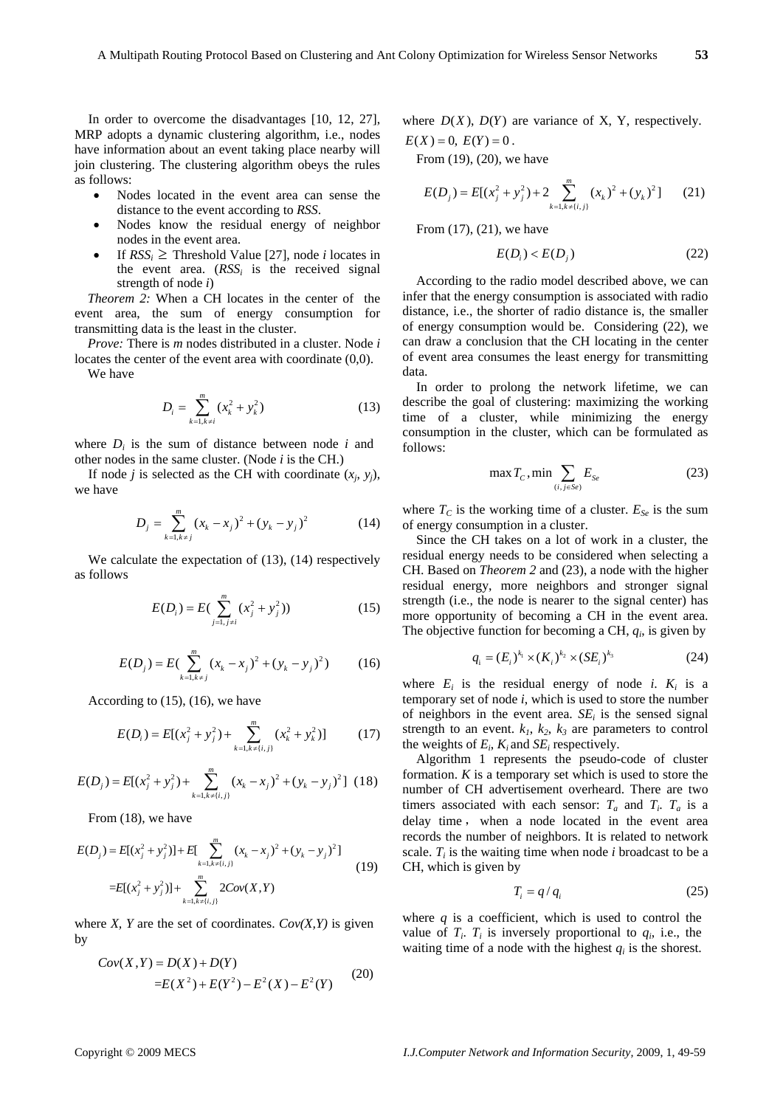In order to overcome the disadvantages [10, 12, 27], MRP adopts a dynamic clustering algorithm, i.e., nodes have information about an event taking place nearby will join clustering. The clustering algorithm obeys the rules as follows:

- Nodes located in the event area can sense the distance to the event according to *RSS*.
- Nodes know the residual energy of neighbor nodes in the event area.
- If  $RSS_i \geq$  Threshold Value [27], node *i* locates in the event area.  $(RSS<sub>i</sub>$  is the received signal strength of node *i*)

*Theorem 2:* When a CH locates in the center of the event area, the sum of energy consumption for transmitting data is the least in the cluster.

*Prove:* There is *m* nodes distributed in a cluster. Node *i* locates the center of the event area with coordinate (0,0).

We have

$$
D_i = \sum_{k=1, k \neq i}^{m} (x_k^2 + y_k^2) \tag{13}
$$

where  $D_i$  is the sum of distance between node  $i$  and other nodes in the same cluster. (Node *i* is the CH.)

If node *j* is selected as the CH with coordinate  $(x_i, y_j)$ , we have

$$
D_j = \sum_{k=1, k \neq j}^{m} (x_k - x_j)^2 + (y_k - y_j)^2 \tag{14}
$$

We calculate the expectation of (13), (14) respectively as follows

$$
E(D_i) = E\left(\sum_{j=1, j\neq i}^{m} (x_j^2 + y_j^2)\right)
$$
 (15)

$$
E(D_j) = E\left(\sum_{k=1, k \neq j}^{m} (x_k - x_j)^2 + (y_k - y_j)^2\right) \tag{16}
$$

According to (15), (16), we have

$$
E(D_i) = E[(x_j^2 + y_j^2) + \sum_{k=1, k \neq \{i,j\}}^m (x_k^2 + y_k^2)] \tag{17}
$$

$$
E(D_j) = E[(x_j^2 + y_j^2) + \sum_{k=1, k \neq \{i,j\}}^m (x_k - x_j)^2 + (y_k - y_j)^2] \tag{18}
$$

From (18), we have

$$
E(D_j) = E[(x_j^2 + y_j^2)] + E[\sum_{k=1, k \neq \{i,j\}}^m (x_k - x_j)^2 + (y_k - y_j)^2]
$$
  
= 
$$
E[(x_j^2 + y_j^2)] + \sum_{k=1, k \neq \{i,j\}}^m 2Cov(X, Y)
$$
 (19)

where *X*, *Y* are the set of coordinates.  $Cov(X, Y)$  is given by

$$
Cov(X,Y) = D(X) + D(Y)
$$
  
= $E(X^2) + E(Y^2) - E^2(X) - E^2(Y)$  (20)

where  $D(X)$ ,  $D(Y)$  are variance of X, Y, respectively.  $E(X) = 0, E(Y) = 0$ .

From (19), (20), we have

$$
E(D_j) = E[(x_j^2 + y_j^2) + 2\sum_{k=1, k \neq \{i,j\}}^m (x_k)^2 + (y_k)^2] \qquad (21)
$$

From (17), (21), we have

$$
E(D_i) < E(D_j) \tag{22}
$$

According to the radio model described above, we can infer that the energy consumption is associated with radio distance, i.e., the shorter of radio distance is, the smaller of energy consumption would be. Considering (22), we can draw a conclusion that the CH locating in the center of event area consumes the least energy for transmitting data.

In order to prolong the network lifetime, we can describe the goal of clustering: maximizing the working time of a cluster, while minimizing the energy consumption in the cluster, which can be formulated as follows:

$$
\max T_c, \min \sum_{(i,j \in Se)} E_{Se} \tag{23}
$$

where  $T_c$  is the working time of a cluster.  $E_{Se}$  is the sum of energy consumption in a cluster.

Since the CH takes on a lot of work in a cluster, the residual energy needs to be considered when selecting a CH. Based on *Theorem 2* and (23), a node with the higher residual energy, more neighbors and stronger signal strength (i.e., the node is nearer to the signal center) has more opportunity of becoming a CH in the event area. The objective function for becoming a CH, *qi*, is given by

$$
q_i = (E_i)^{k_1} \times (K_i)^{k_2} \times (SE_i)^{k_3}
$$
 (24)

where  $E_i$  is the residual energy of node *i*.  $K_i$  is a temporary set of node *i*, which is used to store the number of neighbors in the event area.  $SE<sub>i</sub>$  is the sensed signal strength to an event.  $k_1$ ,  $k_2$ ,  $k_3$  are parameters to control the weights of  $E_i$ ,  $K_i$  and  $SE_i$  respectively.

Algorithm 1 represents the pseudo-code of cluster formation. *K* is a temporary set which is used to store the number of CH advertisement overheard. There are two timers associated with each sensor:  $T_a$  and  $T_i$ .  $T_a$  is a delay time , when a node located in the event area records the number of neighbors. It is related to network scale.  $T_i$  is the waiting time when node *i* broadcast to be a CH, which is given by

$$
T_i = q/q_i \tag{25}
$$

where  $q$  is a coefficient, which is used to control the value of  $T_i$ .  $T_i$  is inversely proportional to  $q_i$ , i.e., the waiting time of a node with the highest  $q_i$  is the shorest.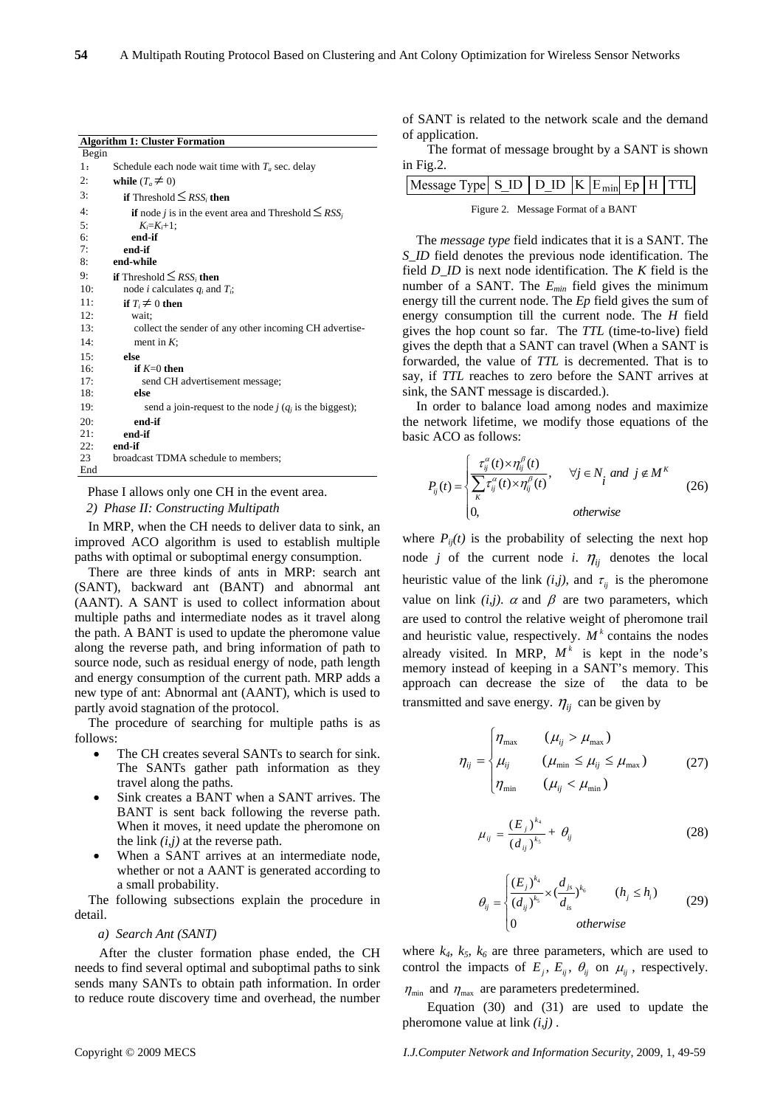|       | <b>Algorithm 1: Cluster Formation</b>                                                    |
|-------|------------------------------------------------------------------------------------------|
| Begin |                                                                                          |
| 1:    | Schedule each node wait time with $T_a$ sec. delay                                       |
| 2:    | while $(T_a \neq 0)$                                                                     |
| 3:    | <b>if</b> Threshold $\leq$ <i>RSS<sub>i</sub></i> then                                   |
| 4:    | <b>if</b> node <i>j</i> is in the event area and Threshold $\leq$ <i>RSS<sub>i</sub></i> |
| 5:    | $K_i = K_i + 1$ ;                                                                        |
| 6:    | end-if                                                                                   |
| 7:    | end-if                                                                                   |
| 8:    | end-while                                                                                |
| 9:    | <b>if</b> Threshold $\leq$ <i>RSS<sub>i</sub></i> then                                   |
| 10:   | node <i>i</i> calculates $q_i$ and $T_i$ ;                                               |
| 11:   | if $T_i \neq 0$ then                                                                     |
| 12:   | wait:                                                                                    |
| 13:   | collect the sender of any other incoming CH advertise-                                   |
| 14:   | ment in $K$ :                                                                            |
| 15:   | else                                                                                     |
| 16:   | if $K=0$ then                                                                            |
| 17:   | send CH advertisement message;                                                           |
| 18:   | else                                                                                     |
| 19:   | send a join-request to the node $j$ ( $q_i$ is the biggest);                             |
| 20:   | end-if                                                                                   |
| 21:   | end-if                                                                                   |
| 22:   | end-if                                                                                   |
| 23    | broadcast TDMA schedule to members;                                                      |
| End   |                                                                                          |

Phase I allows only one CH in the event area.

*2) Phase II: Constructing Multipath* 

In MRP, when the CH needs to deliver data to sink, an improved ACO algorithm is used to establish multiple paths with optimal or suboptimal energy consumption.

There are three kinds of ants in MRP: search ant (SANT), backward ant (BANT) and abnormal ant (AANT). A SANT is used to collect information about multiple paths and intermediate nodes as it travel along the path. A BANT is used to update the pheromone value along the reverse path, and bring information of path to source node, such as residual energy of node, path length and energy consumption of the current path. MRP adds a new type of ant: Abnormal ant (AANT), which is used to partly avoid stagnation of the protocol.

The procedure of searching for multiple paths is as follows:

- The CH creates several SANTs to search for sink. The SANTs gather path information as they travel along the paths.
- Sink creates a BANT when a SANT arrives. The BANT is sent back following the reverse path. When it moves, it need update the pheromone on the link *(i,j)* at the reverse path.
- When a SANT arrives at an intermediate node, whether or not a AANT is generated according to a small probability.

The following subsections explain the procedure in detail.

## *a) Search Ant (SANT)*

After the cluster formation phase ended, the CH needs to find several optimal and suboptimal paths to sink sends many SANTs to obtain path information. In order to reduce route discovery time and overhead, the number

of SANT is related to the network scale and the demand of application.

The format of message brought by a SANT is shown in Fig.2.

| $Message Type SID DID K Emin Ep H TTL$ |  |  |  |  |  |  |  |
|----------------------------------------|--|--|--|--|--|--|--|
| Figure 2. Message Format of a BANT     |  |  |  |  |  |  |  |

The *message type* field indicates that it is a SANT. The *S\_ID* field denotes the previous node identification. The field *D\_ID* is next node identification. The *K* field is the number of a SANT. The *Emin* field gives the minimum energy till the current node. The *Ep* field gives the sum of energy consumption till the current node. The *H* field gives the hop count so far. The *TTL* (time-to-live) field gives the depth that a SANT can travel (When a SANT is forwarded, the value of *TTL* is decremented. That is to say, if *TTL* reaches to zero before the SANT arrives at sink, the SANT message is discarded.).

In order to balance load among nodes and maximize the network lifetime, we modify those equations of the basic ACO as follows:

$$
P_{ij}(t) = \begin{cases} \frac{\tau_{ij}^{\alpha}(t) \times \eta_{ij}^{\beta}(t)}{\sum_{K} \tau_{ij}^{\alpha}(t) \times \eta_{ij}^{\beta}(t)}, & \forall j \in N_i \text{ and } j \notin M^K\\ 0, & \text{otherwise} \end{cases}
$$
(26)

where  $P_{ij}(t)$  is the probability of selecting the next hop node *j* of the current node *i*.  $\eta_{ii}$  denotes the local heuristic value of the link  $(i,j)$ , and  $\tau_{ij}$  is the pheromone value on link  $(i, j)$ .  $\alpha$  and  $\beta$  are two parameters, which are used to control the relative weight of pheromone trail and heuristic value, respectively.  $M^k$  contains the nodes already visited. In MRP,  $M^k$  is kept in the node's memory instead of keeping in a SANT's memory. This approach can decrease the size of the data to be transmitted and save energy.  $\eta_{ii}$  can be given by

$$
\eta_{ij} = \begin{cases} \eta_{\text{max}} & (\mu_{ij} > \mu_{\text{max}}) \\ \mu_{ij} & (\mu_{\text{min}} \le \mu_{ij} \le \mu_{\text{max}}) \\ \eta_{\text{min}} & (\mu_{ij} < \mu_{\text{min}}) \end{cases}
$$
(27)

$$
\mu_{ij} = \frac{(E_j)^{k_4}}{(d_{ij})^{k_5}} + \theta_{ij}
$$
\n(28)

$$
\theta_{ij} = \begin{cases}\n\frac{\left(E_j\right)^{k_4}}{\left(d_{ij}\right)^{k_5}} \times \left(\frac{d_{js}}{d_{is}}\right)^{k_6} & (h_j \le h_i) \\
0 & \text{otherwise}\n\end{cases} \tag{29}
$$

where  $k_4$ ,  $k_5$ ,  $k_6$  are three parameters, which are used to control the impacts of  $E_i$ ,  $E_{ii}$ ,  $\theta_{ii}$  on  $\mu_{ii}$ , respectively.  $\eta_{\text{min}}$  and  $\eta_{\text{max}}$  are parameters predetermined.

Equation (30) and (31) are used to update the pheromone value at link *(i,j)* .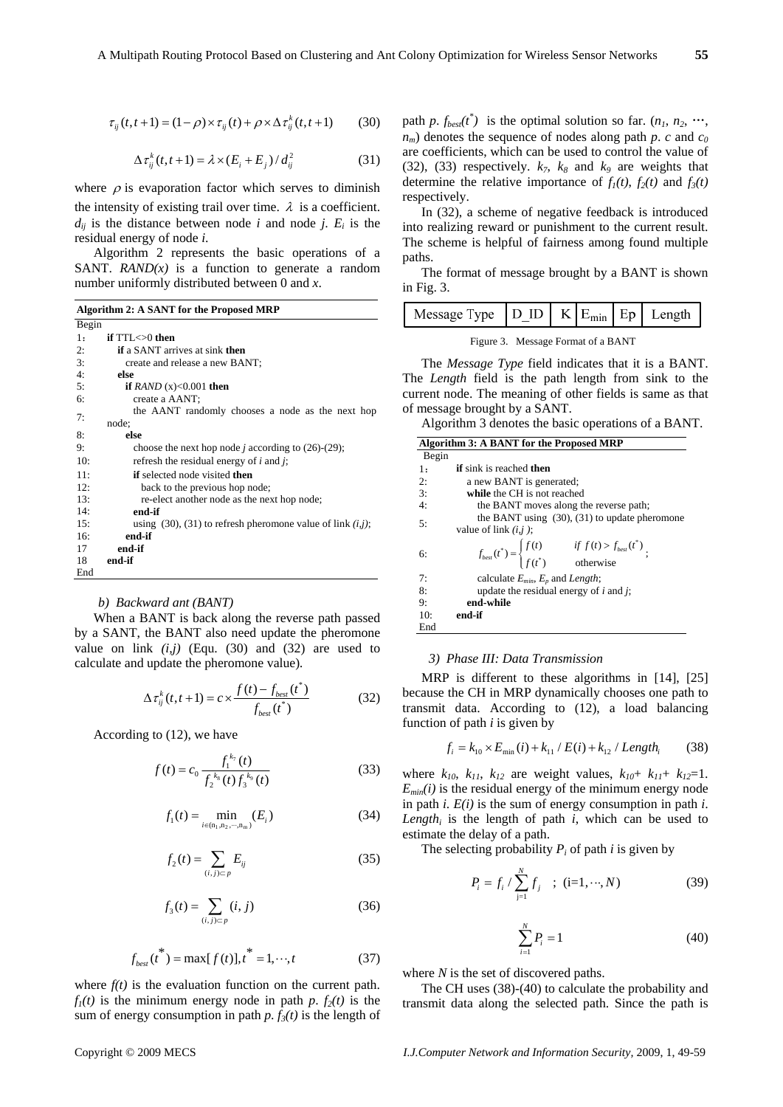$$
\mathcal{L}_{\mathcal{A}}
$$

$$
\tau_{ij}(t, t+1) = (1 - \rho) \times \tau_{ij}(t) + \rho \times \Delta \tau_{ij}^k(t, t+1)
$$
(30)

$$
\Delta \tau_{ij}^k(t, t+1) = \lambda \times (E_i + E_j) / d_{ij}^2 \tag{31}
$$

where  $\rho$  is evaporation factor which serves to diminish the intensity of existing trail over time.  $\lambda$  is a coefficient.  $d_{ij}$  is the distance between node *i* and node *j*.  $E_i$  is the residual energy of node *i*.

Algorithm 2 represents the basic operations of a SANT.  $RAND(x)$  is a function to generate a random number uniformly distributed between 0 and *x*.

**Algorithm 2: A SANT for the Proposed MRP** 

| Begin |                                                                     |
|-------|---------------------------------------------------------------------|
| 1:    | if $TTL < 0$ then                                                   |
| 2:    | <b>if</b> a SANT arrives at sink <b>then</b>                        |
| 3:    | create and release a new BANT;                                      |
| 4:    | else                                                                |
| 5:    | if RAND $(x) < 0.001$ then                                          |
| 6:    | create a AANT;                                                      |
| 7:    | the AANT randomly chooses a node as the next hop                    |
|       | node:                                                               |
| 8:    | else                                                                |
| 9:    | choose the next hop node <i>j</i> according to $(26)-(29)$ ;        |
| 10:   | refresh the residual energy of $i$ and $j$ ;                        |
| 11:   | <b>if</b> selected node visited <b>then</b>                         |
| 12:   | back to the previous hop node;                                      |
| 13:   | re-elect another node as the next hop node;                         |
| 14:   | end-if                                                              |
| 15:   | using $(30)$ , $(31)$ to refresh pheromone value of link $(i, j)$ ; |
| 16:   | end-if                                                              |
| 17    | end-if                                                              |
| 18    | end-if                                                              |
| End   |                                                                     |

## *b) Backward ant (BANT)*

When a BANT is back along the reverse path passed by a SANT, the BANT also need update the pheromone value on link  $(i, j)$  (Equ. (30) and (32) are used to calculate and update the pheromone value)*.* 

$$
\Delta \tau_{ij}^{k}(t, t+1) = c \times \frac{f(t) - f_{best}(t^{*})}{f_{best}(t^{*})}
$$
(32)

According to (12), we have

$$
f(t) = c_0 \frac{f_1^{k_7}(t)}{f_2^{k_8}(t) f_3^{k_9}(t)}\tag{33}
$$

$$
f_1(t) = \min_{i \in (n_1, n_2, \cdots, n_m)} (E_i)
$$
 (34)

$$
f_2(t) = \sum_{(i,j)\subset p} E_{ij} \tag{35}
$$

$$
f_3(t) = \sum_{(i,j)\subset p} (i,j) \tag{36}
$$

$$
f_{best}(t^*) = \max[f(t)], t^* = 1, \cdots, t
$$
 (37)

where  $f(t)$  is the evaluation function on the current path.  $f_1(t)$  is the minimum energy node in path *p*.  $f_2(t)$  is the sum of energy consumption in path  $p \cdot f_3(t)$  is the length of

path *p*.  $f_{best}(t^*)$  is the optimal solution so far.  $(n_1, n_2, \dots, n_k)$  $n_m$ ) denotes the sequence of nodes along path *p*. *c* and  $c_0$ are coefficients, which can be used to control the value of (32), (33) respectively.  $k_7$ ,  $k_8$  and  $k_9$  are weights that determine the relative importance of  $f_1(t)$ ,  $f_2(t)$  and  $f_3(t)$ respectively.

In (32), a scheme of negative feedback is introduced into realizing reward or punishment to the current result. The scheme is helpful of fairness among found multiple paths.

The format of message brought by a BANT is shown in Fig. 3.

|  | Message Type $ DID K $ |  |  |  |  | $E_{\min}$   Ep   Length |
|--|------------------------|--|--|--|--|--------------------------|
|--|------------------------|--|--|--|--|--------------------------|

Figure 3. Message Format of a BANT

The *Message Type* field indicates that it is a BANT. The *Length* field is the path length from sink to the current node. The meaning of other fields is same as that of message brought by a SANT.

Algorithm 3 denotes the basic operations of a BANT.

|       | Algorithm 3: A BANT for the Proposed MRP                                                                          |
|-------|-------------------------------------------------------------------------------------------------------------------|
| Begin |                                                                                                                   |
| 1:    | <b>if</b> sink is reached <b>then</b>                                                                             |
| 2:    | a new BANT is generated;                                                                                          |
| 3:    | while the CH is not reached                                                                                       |
| 4:    | the BANT moves along the reverse path;                                                                            |
| 5:    | the BANT using $(30)$ , $(31)$ to update pheromone<br>value of link $(i, j)$ ;                                    |
| 6:    | $f_{best}(t^*) = \begin{cases} f(t) & \text{if } f(t) > f_{best}(t^*) \\ f(t^*) & \text{otherwise} \end{cases}$ ; |
| 7:    | calculate $E_{min}$ , $E_p$ and Length;                                                                           |
| 8:    | update the residual energy of $i$ and $j$ ;                                                                       |
| 9:    | end-while                                                                                                         |
| 10:   | end-if                                                                                                            |
| End   |                                                                                                                   |

#### *3) Phase III: Data Transmission*

MRP is different to these algorithms in [14], [25] because the CH in MRP dynamically chooses one path to transmit data. According to (12), a load balancing function of path *i* is given by

$$
f_i = k_{10} \times E_{\min}(i) + k_{11} / E(i) + k_{12} / Length_i \tag{38}
$$

where  $k_{10}$ ,  $k_{11}$ ,  $k_{12}$  are weight values,  $k_{10} + k_{11} + k_{12} = 1$ .  $E_{min}(i)$  is the residual energy of the minimum energy node in path *i*. *E(i)* is the sum of energy consumption in path *i*. Length<sub>i</sub> is the length of path  $i$ , which can be used to estimate the delay of a path.

The selecting probability  $P_i$  of path *i* is given by

$$
P_i = f_i / \sum_{j=1}^{N} f_j \quad ; \quad (i=1,\cdots,N)
$$
 (39)

$$
\sum_{i=1}^{N} P_i = 1\tag{40}
$$

where *N* is the set of discovered paths.

The CH uses (38)-(40) to calculate the probability and transmit data along the selected path. Since the path is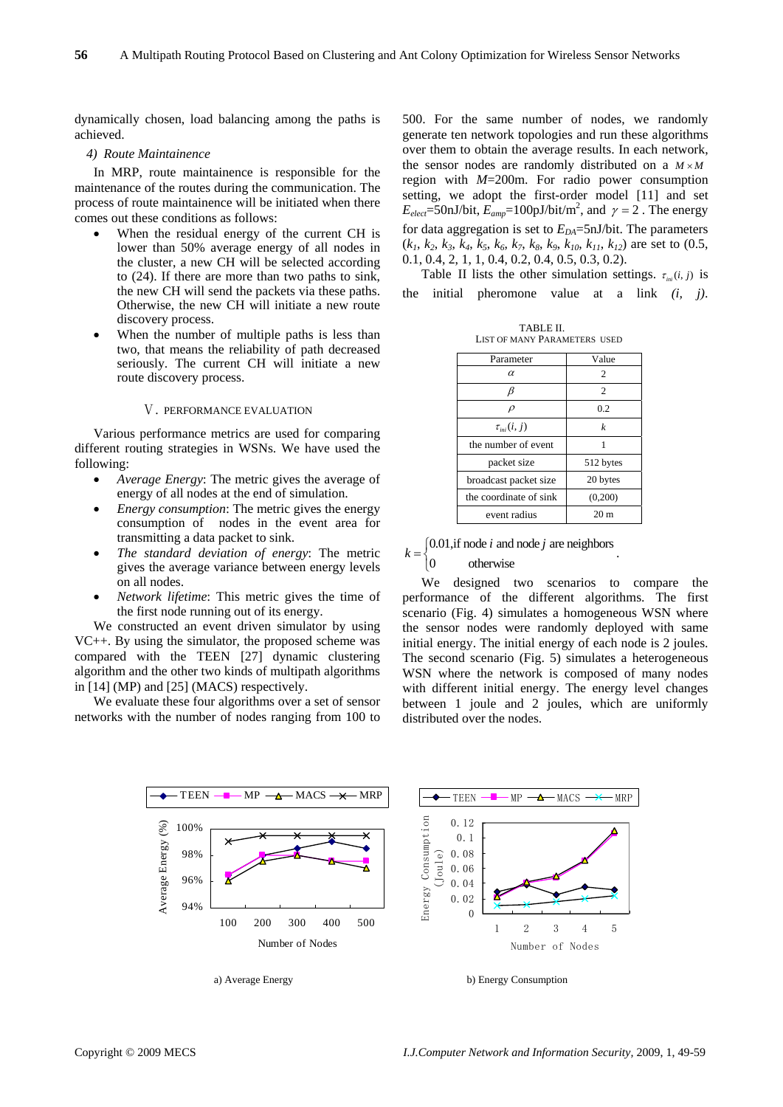dynamically chosen, load balancing among the paths is achieved.

## *4) Route Maintainence*

In MRP, route maintainence is responsible for the maintenance of the routes during the communication. The process of route maintainence will be initiated when there comes out these conditions as follows:

- When the residual energy of the current CH is lower than 50% average energy of all nodes in the cluster, a new CH will be selected according to (24). If there are more than two paths to sink, the new CH will send the packets via these paths. Otherwise, the new CH will initiate a new route discovery process.
- When the number of multiple paths is less than two, that means the reliability of path decreased seriously. The current CH will initiate a new route discovery process.

## Ⅴ. PERFORMANCE EVALUATION

Various performance metrics are used for comparing different routing strategies in WSNs. We have used the following:

- *Average Energy*: The metric gives the average of energy of all nodes at the end of simulation.
- *Energy consumption*: The metric gives the energy consumption of nodes in the event area for transmitting a data packet to sink.
- *The standard deviation of energy*: The metric gives the average variance between energy levels on all nodes.
- *Network lifetime*: This metric gives the time of the first node running out of its energy.

We constructed an event driven simulator by using VC++. By using the simulator, the proposed scheme was compared with the TEEN [27] dynamic clustering algorithm and the other two kinds of multipath algorithms in [14] (MP) and [25] (MACS) respectively.

We evaluate these four algorithms over a set of sensor networks with the number of nodes ranging from 100 to 500. For the same number of nodes, we randomly generate ten network topologies and run these algorithms over them to obtain the average results. In each network, the sensor nodes are randomly distributed on a  $M \times M$ region with *M*=200m. For radio power consumption setting, we adopt the first-order model [11] and set  $E_{elect} = 50 \text{nJ/bit}, E_{amp} = 100 \text{pJ/bit/m}^2$ , and  $\gamma = 2$ . The energy for data aggregation is set to  $E_{DA}$ =5nJ/bit. The parameters  $(k_1, k_2, k_3, k_4, k_5, k_6, k_7, k_8, k_9, k_{10}, k_{11}, k_{12})$  are set to (0.5, 0.1, 0.4, 2, 1, 1, 0.4, 0.2, 0.4, 0.5, 0.3, 0.2).

Table II lists the other simulation settings.  $\tau_{ini}(i, j)$  is the initial pheromone value at a link *(i, j)*.

| TABLE II.                    |  |
|------------------------------|--|
| LIST OF MANY PARAMETERS USED |  |

| Parameter                            | Value            |
|--------------------------------------|------------------|
| α                                    | 2                |
| B                                    | $\overline{c}$   |
| $\rho$                               | 0.2              |
| $\tau_{\scriptscriptstyle ini}(i,j)$ | $\boldsymbol{k}$ |
| the number of event                  | 1                |
| packet size                          | 512 bytes        |
| broadcast packet size                | 20 bytes         |
| the coordinate of sink               | (0,200)          |
| event radius                         | 20 <sub>m</sub>  |

$$
k = \begin{cases} 0.01, & \text{if node } i \text{ and node } j \text{ are neighbors} \\ 0, & \text{otherwise} \end{cases}
$$

otherwise  $\overline{a}$ 

We designed two scenarios to compare the performance of the different algorithms. The first scenario (Fig. 4) simulates a homogeneous WSN where the sensor nodes were randomly deployed with same initial energy. The initial energy of each node is 2 joules. The second scenario (Fig. 5) simulates a heterogeneous WSN where the network is composed of many nodes with different initial energy. The energy level changes between 1 joule and 2 joules, which are uniformly distributed over the nodes.

.



a) Average Energy b) Energy Consumption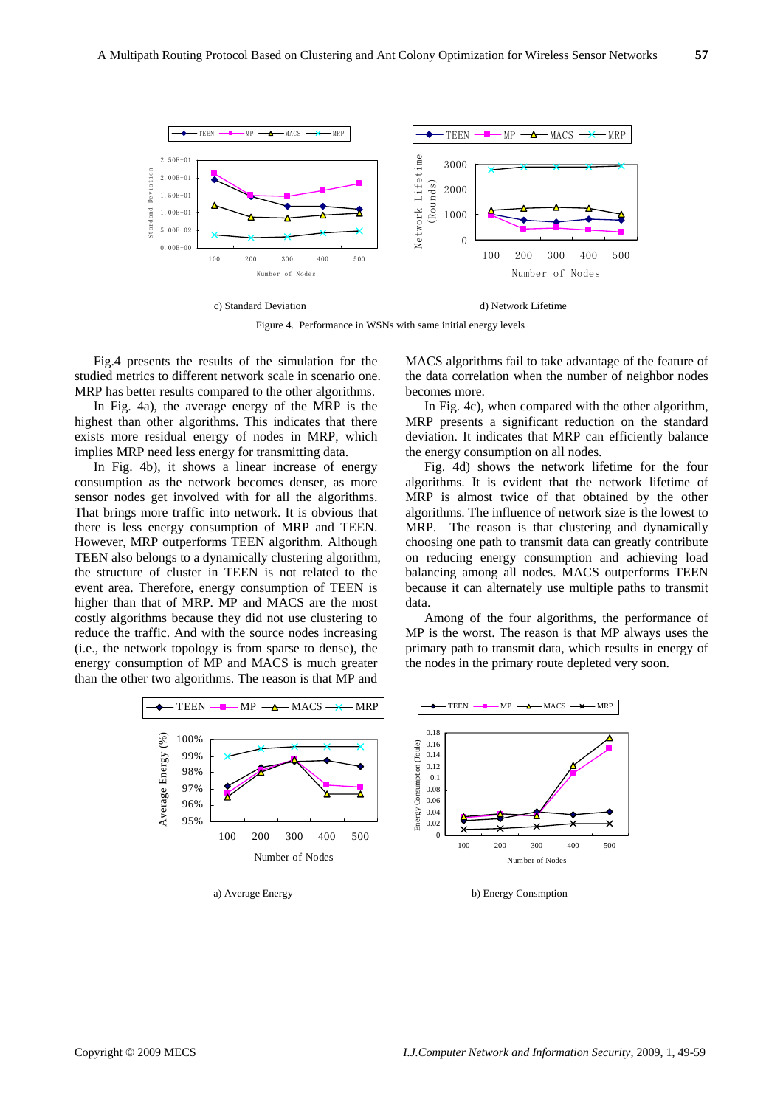

c) Standard Deviation d) Network Lifetime

Figure 4. Performance in WSNs with same initial energy levels

Fig.4 presents the results of the simulation for the studied metrics to different network scale in scenario one. MRP has better results compared to the other algorithms.

In Fig. 4a), the average energy of the MRP is the highest than other algorithms. This indicates that there exists more residual energy of nodes in MRP, which implies MRP need less energy for transmitting data.

In Fig. 4b), it shows a linear increase of energy consumption as the network becomes denser, as more sensor nodes get involved with for all the algorithms. That brings more traffic into network. It is obvious that there is less energy consumption of MRP and TEEN. However, MRP outperforms TEEN algorithm. Although TEEN also belongs to a dynamically clustering algorithm, the structure of cluster in TEEN is not related to the event area. Therefore, energy consumption of TEEN is higher than that of MRP. MP and MACS are the most costly algorithms because they did not use clustering to reduce the traffic. And with the source nodes increasing (i.e., the network topology is from sparse to dense), the energy consumption of MP and MACS is much greater than the other two algorithms. The reason is that MP and



MACS algorithms fail to take advantage of the feature of the data correlation when the number of neighbor nodes becomes more.

In Fig. 4c), when compared with the other algorithm, MRP presents a significant reduction on the standard deviation. It indicates that MRP can efficiently balance the energy consumption on all nodes.

Fig. 4d) shows the network lifetime for the four algorithms. It is evident that the network lifetime of MRP is almost twice of that obtained by the other algorithms. The influence of network size is the lowest to MRP. The reason is that clustering and dynamically choosing one path to transmit data can greatly contribute on reducing energy consumption and achieving load balancing among all nodes. MACS outperforms TEEN because it can alternately use multiple paths to transmit data.

Among of the four algorithms, the performance of MP is the worst. The reason is that MP always uses the primary path to transmit data, which results in energy of the nodes in the primary route depleted very soon.



a) Average Energy b) Energy Consmption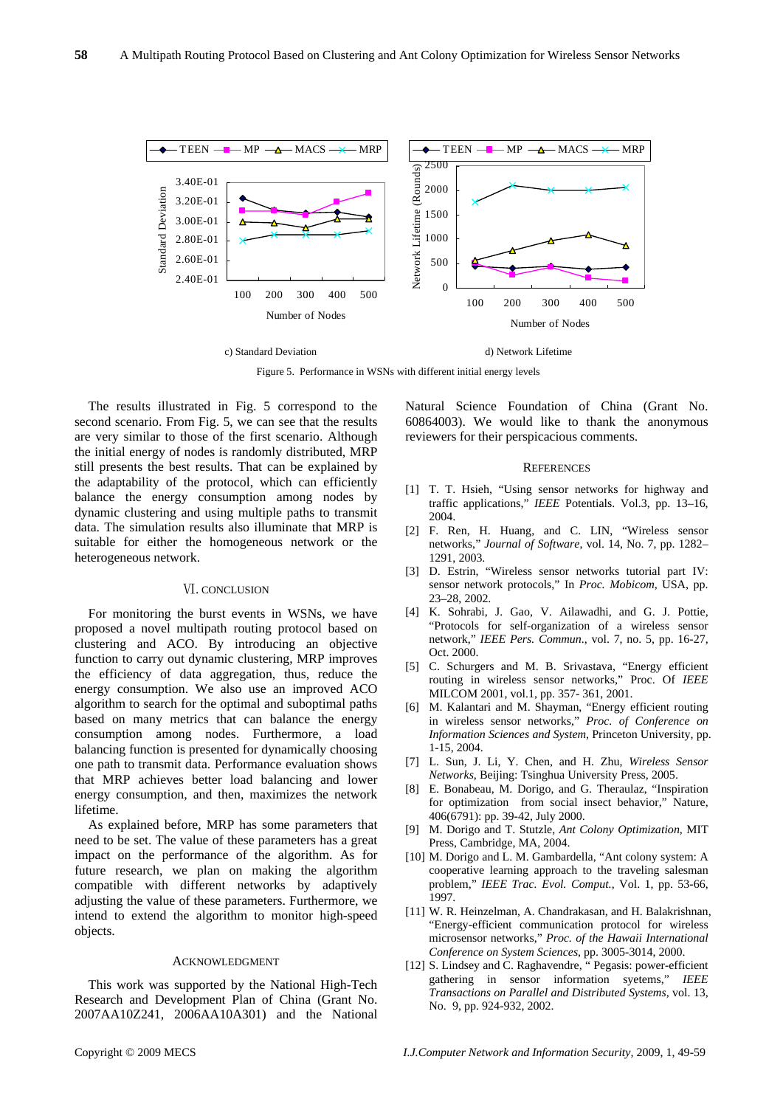

Figure 5. Performance in WSNs with different initial energy levels

The results illustrated in Fig. 5 correspond to the second scenario. From Fig. 5, we can see that the results are very similar to those of the first scenario. Although the initial energy of nodes is randomly distributed, MRP still presents the best results. That can be explained by the adaptability of the protocol, which can efficiently balance the energy consumption among nodes by dynamic clustering and using multiple paths to transmit data. The simulation results also illuminate that MRP is suitable for either the homogeneous network or the heterogeneous network.

## Ⅵ. CONCLUSION

For monitoring the burst events in WSNs, we have proposed a novel multipath routing protocol based on clustering and ACO. By introducing an objective function to carry out dynamic clustering, MRP improves the efficiency of data aggregation, thus, reduce the energy consumption. We also use an improved ACO algorithm to search for the optimal and suboptimal paths based on many metrics that can balance the energy consumption among nodes. Furthermore, a load balancing function is presented for dynamically choosing one path to transmit data. Performance evaluation shows that MRP achieves better load balancing and lower energy consumption, and then, maximizes the network lifetime.

As explained before, MRP has some parameters that need to be set. The value of these parameters has a great impact on the performance of the algorithm. As for future research, we plan on making the algorithm compatible with different networks by adaptively adjusting the value of these parameters. Furthermore, we intend to extend the algorithm to monitor high-speed objects.

#### ACKNOWLEDGMENT

This work was supported by the National High-Tech Research and Development Plan of China (Grant No. 2007AA10Z241, 2006AA10A301) and the National Natural Science Foundation of China (Grant No. 60864003). We would like to thank the anonymous reviewers for their perspicacious comments.

## **REFERENCES**

- [1] T. T. Hsieh, "Using sensor networks for highway and traffic applications," *IEEE* Potentials. Vol.3, pp. 13–16, 2004.
- [2] F. Ren, H. Huang, and C. LIN, "Wireless sensor networks," *Journal of Software*, vol. 14, No. 7, pp. 1282– 1291, 2003.
- [3] D. Estrin, "Wireless sensor networks tutorial part IV: sensor network protocols," In *Proc. Mobicom*, USA, pp. 23–28, 2002.
- [4] K. Sohrabi, J. Gao, V. Ailawadhi, and G. J. Pottie, "Protocols for self-organization of a wireless sensor network," *IEEE Pers. Commun.*, vol. 7, no. 5, pp. 16-27, Oct. 2000.
- [5] C. Schurgers and M. B. Srivastava, "Energy efficient routing in wireless sensor networks," Proc. Of *IEEE* MILCOM 2001, vol.1, pp. 357- 361, 2001.
- [6] M. Kalantari and M. Shayman, "Energy efficient routing in wireless sensor networks," *Proc. of Conference on Information Sciences and System*, Princeton University, pp. 1-15, 2004.
- [7] L. Sun, J. Li, Y. Chen, and H. Zhu, *Wireless Sensor Networks*, Beijing: Tsinghua University Press, 2005.
- [8] E. Bonabeau, M. Dorigo, and G. Theraulaz, "Inspiration for optimization from social insect behavior," Nature, 406(6791): pp. 39-42, July 2000.
- [9] M. Dorigo and T. Stutzle, *Ant Colony Optimization*, MIT Press, Cambridge, MA, 2004.
- [10] M. Dorigo and L. M. Gambardella, "Ant colony system: A cooperative learning approach to the traveling salesman problem," *IEEE Trac. Evol. Comput.*, Vol. 1, pp. 53-66, 1997.
- [11] W. R. Heinzelman, A. Chandrakasan, and H. Balakrishnan, "Energy-efficient communication protocol for wireless microsensor networks," *Proc. of the Hawaii International Conference on System Sciences*, pp. 3005-3014, 2000.
- [12] S. Lindsey and C. Raghavendre, " Pegasis: power-efficient gathering in sensor information syetems," *IEEE Transactions on Parallel and Distributed Systems*, vol. 13, No. 9, pp. 924-932, 2002.